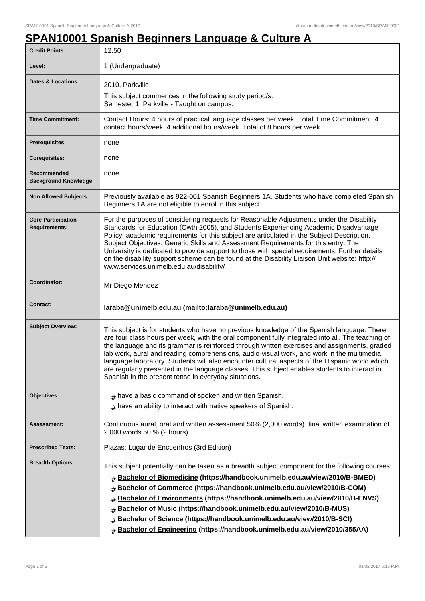## **SPAN10001 Spanish Beginners Language & Culture A**

| <b>Credit Points:</b>                             | 12.50                                                                                                                                                                                                                                                                                                                                                                                                                                                                                                                                                                                                                                                   |
|---------------------------------------------------|---------------------------------------------------------------------------------------------------------------------------------------------------------------------------------------------------------------------------------------------------------------------------------------------------------------------------------------------------------------------------------------------------------------------------------------------------------------------------------------------------------------------------------------------------------------------------------------------------------------------------------------------------------|
| Level:                                            | 1 (Undergraduate)                                                                                                                                                                                                                                                                                                                                                                                                                                                                                                                                                                                                                                       |
| Dates & Locations:                                | 2010, Parkville<br>This subject commences in the following study period/s:<br>Semester 1, Parkville - Taught on campus.                                                                                                                                                                                                                                                                                                                                                                                                                                                                                                                                 |
| <b>Time Commitment:</b>                           | Contact Hours: 4 hours of practical language classes per week. Total Time Commitment: 4<br>contact hours/week, 4 additional hours/week. Total of 8 hours per week.                                                                                                                                                                                                                                                                                                                                                                                                                                                                                      |
| <b>Prerequisites:</b>                             | none                                                                                                                                                                                                                                                                                                                                                                                                                                                                                                                                                                                                                                                    |
| <b>Corequisites:</b>                              | none                                                                                                                                                                                                                                                                                                                                                                                                                                                                                                                                                                                                                                                    |
| Recommended<br><b>Background Knowledge:</b>       | none                                                                                                                                                                                                                                                                                                                                                                                                                                                                                                                                                                                                                                                    |
| <b>Non Allowed Subjects:</b>                      | Previously available as 922-001 Spanish Beginners 1A. Students who have completed Spanish<br>Beginners 1A are not eligible to enrol in this subject.                                                                                                                                                                                                                                                                                                                                                                                                                                                                                                    |
| <b>Core Participation</b><br><b>Requirements:</b> | For the purposes of considering requests for Reasonable Adjustments under the Disability<br>Standards for Education (Cwth 2005), and Students Experiencing Academic Disadvantage<br>Policy, academic requirements for this subject are articulated in the Subject Description,<br>Subject Objectives, Generic Skills and Assessment Requirements for this entry. The<br>University is dedicated to provide support to those with special requirements. Further details<br>on the disability support scheme can be found at the Disability Liaison Unit website: http://<br>www.services.unimelb.edu.au/disability/                                      |
| Coordinator:                                      | Mr Diego Mendez                                                                                                                                                                                                                                                                                                                                                                                                                                                                                                                                                                                                                                         |
| <b>Contact:</b>                                   | laraba@unimelb.edu.au (mailto:laraba@unimelb.edu.au)                                                                                                                                                                                                                                                                                                                                                                                                                                                                                                                                                                                                    |
| <b>Subject Overview:</b>                          | This subject is for students who have no previous knowledge of the Spanish language. There<br>are four class hours per week, with the oral component fully integrated into all. The teaching of<br>the language and its grammar is reinforced through written exercises and assignments, graded<br>lab work, aural and reading comprehensions, audio-visual work, and work in the multimedia<br>language laboratory. Students will also encounter cultural aspects of the Hispanic world which<br>are regularly presented in the language classes. This subject enables students to interact in<br>Spanish in the present tense in everyday situations. |
| Objectives:                                       | $#$ have a basic command of spoken and written Spanish.                                                                                                                                                                                                                                                                                                                                                                                                                                                                                                                                                                                                 |
|                                                   | $#$ have an ability to interact with native speakers of Spanish.                                                                                                                                                                                                                                                                                                                                                                                                                                                                                                                                                                                        |
| <b>Assessment:</b>                                | Continuous aural, oral and written assessment 50% (2,000 words). final written examination of<br>2,000 words 50 % (2 hours).                                                                                                                                                                                                                                                                                                                                                                                                                                                                                                                            |
| <b>Prescribed Texts:</b>                          | Plazas: Lugar de Encuentros (3rd Edition)                                                                                                                                                                                                                                                                                                                                                                                                                                                                                                                                                                                                               |
| <b>Breadth Options:</b>                           | This subject potentially can be taken as a breadth subject component for the following courses:<br><b>Bachelor of Biomedicine (https://handbook.unimelb.edu.au/view/2010/B-BMED)</b><br>#<br>Bachelor of Commerce (https://handbook.unimelb.edu.au/view/2010/B-COM)<br>#<br>Bachelor of Environments (https://handbook.unimelb.edu.au/view/2010/B-ENVS)<br>#<br>Bachelor of Music (https://handbook.unimelb.edu.au/view/2010/B-MUS)<br>#<br>Bachelor of Science (https://handbook.unimelb.edu.au/view/2010/B-SCI)<br>#<br>Bachelor of Engineering (https://handbook.unimelb.edu.au/view/2010/355AA)<br>#                                                |